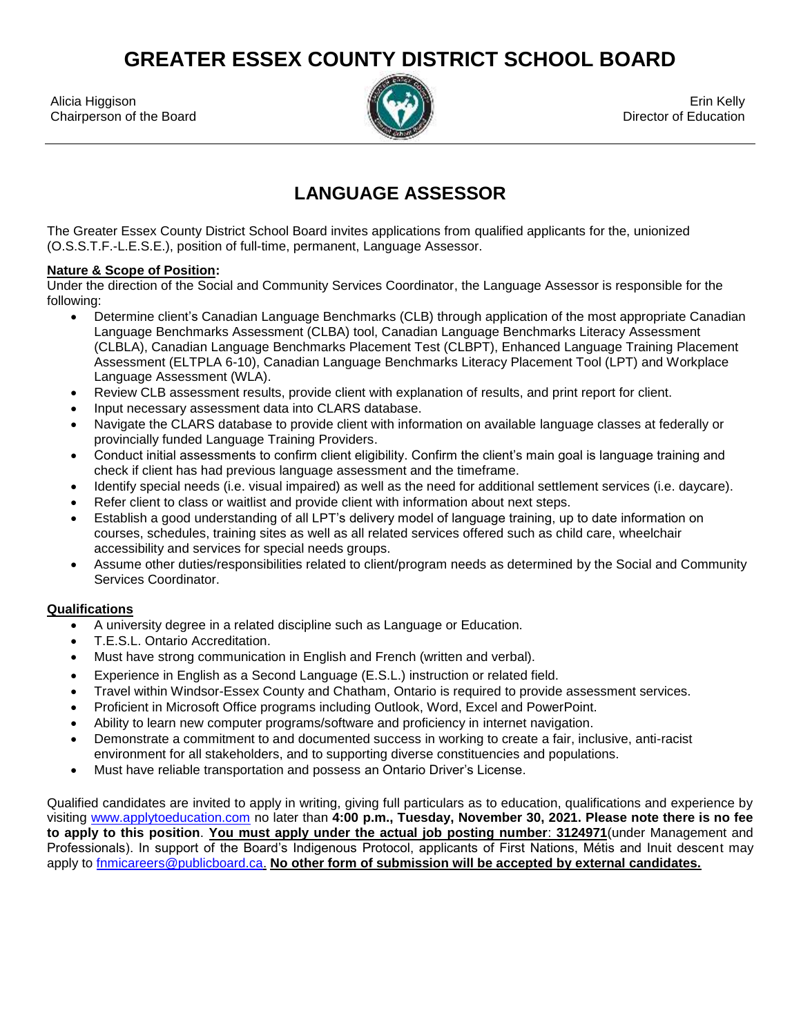**GREATER ESSEX COUNTY DISTRICT SCHOOL BOARD**

Alicia Higgison Erin Kelly (Company of the Company of the Company of the Company of the Company of the Company of the Company of the Company of the Company of the Company of the Company of the Company of the Company of the Chairperson of the Board **Director of Education** Chairperson of the Board Director of Education



## **LANGUAGE ASSESSOR**

The Greater Essex County District School Board invites applications from qualified applicants for the, unionized (O.S.S.T.F.-L.E.S.E.), position of full-time, permanent, Language Assessor.

## **Nature & Scope of Position:**

Under the direction of the Social and Community Services Coordinator, the Language Assessor is responsible for the following:

- Determine client's Canadian Language Benchmarks (CLB) through application of the most appropriate Canadian Language Benchmarks Assessment (CLBA) tool, Canadian Language Benchmarks Literacy Assessment (CLBLA), Canadian Language Benchmarks Placement Test (CLBPT), Enhanced Language Training Placement Assessment (ELTPLA 6-10), Canadian Language Benchmarks Literacy Placement Tool (LPT) and Workplace Language Assessment (WLA).
- Review CLB assessment results, provide client with explanation of results, and print report for client.
- Input necessary assessment data into CLARS database.
- Navigate the CLARS database to provide client with information on available language classes at federally or provincially funded Language Training Providers.
- Conduct initial assessments to confirm client eligibility. Confirm the client's main goal is language training and check if client has had previous language assessment and the timeframe.
- Identify special needs (i.e. visual impaired) as well as the need for additional settlement services (i.e. daycare).
- Refer client to class or waitlist and provide client with information about next steps.
- Establish a good understanding of all LPT's delivery model of language training, up to date information on courses, schedules, training sites as well as all related services offered such as child care, wheelchair accessibility and services for special needs groups.
- Assume other duties/responsibilities related to client/program needs as determined by the Social and Community Services Coordinator.

## **Qualifications**

- A university degree in a related discipline such as Language or Education.
- T.E.S.L. Ontario Accreditation.
- Must have strong communication in English and French (written and verbal).
- Experience in English as a Second Language (E.S.L.) instruction or related field.
- Travel within Windsor-Essex County and Chatham, Ontario is required to provide assessment services.
- Proficient in Microsoft Office programs including Outlook, Word, Excel and PowerPoint.
- Ability to learn new computer programs/software and proficiency in internet navigation.
- Demonstrate a commitment to and documented success in working to create a fair, inclusive, anti-racist environment for all stakeholders, and to supporting diverse constituencies and populations.
- Must have reliable transportation and possess an Ontario Driver's License.

Qualified candidates are invited to apply in writing, giving full particulars as to education, qualifications and experience by visiting [www.applytoeducation.com](http://www.applytoeducation.com/) no later than **4:00 p.m., Tuesday, November 30, 2021. Please note there is no fee to apply to this position**. **You must apply under the actual job posting number**: **3124971**(under Management and Professionals). In support of the Board's Indigenous Protocol, applicants of First Nations, Métis and Inuit descent may apply to [fnmicareers@publicboard.ca.](mailto:fnmicareers@publicboard.ca) **No other form of submission will be accepted by external candidates.**